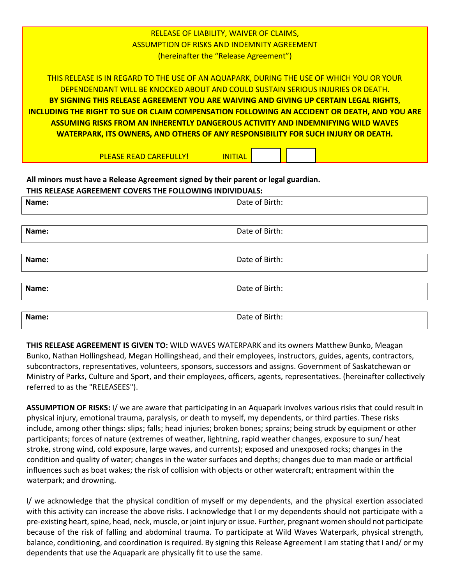RELEASE OF LIABILITY, WAIVER OF CLAIMS, ASSUMPTION OF RISKS AND INDEMNITY AGREEMENT (hereinafter the "Release Agreement")

THIS RELEASE IS IN REGARD TO THE USE OF AN AQUAPARK, DURING THE USE OF WHICH YOU OR YOUR DEPENDENDANT WILL BE KNOCKED ABOUT AND COULD SUSTAIN SERIOUS INJURIES OR DEATH. **BY SIGNING THIS RELEASE AGREEMENT YOU ARE WAIVING AND GIVING UP CERTAIN LEGAL RIGHTS, INCLUDING THE RIGHT TO SUE OR CLAIM COMPENSATION FOLLOWING AN ACCIDENT OR DEATH, AND YOU ARE ASSUMING RISKS FROM AN INHERENTLY DANGEROUS ACTIVITY AND INDEMNIFYING WILD WAVES WATERPARK, ITS OWNERS, AND OTHERS OF ANY RESPONSIBILITY FOR SUCH INJURY OR DEATH.**

PLEASE READ CAREFULLY! INITIAL

**All minors must have a Release Agreement signed by their parent or legal guardian. THIS RELEASE AGREEMENT COVERS THE FOLLOWING INDIVIDUALS:** 

| Name: | Date of Birth: |
|-------|----------------|
|       |                |
| Name: | Date of Birth: |
|       |                |
| Name: | Date of Birth: |
|       |                |
| Name: | Date of Birth: |
|       |                |
| Name: | Date of Birth: |

**THIS RELEASE AGREEMENT IS GIVEN TO:** WILD WAVES WATERPARK and its owners Matthew Bunko, Meagan Bunko, Nathan Hollingshead, Megan Hollingshead, and their employees, instructors, guides, agents, contractors, subcontractors, representatives, volunteers, sponsors, successors and assigns. Government of Saskatchewan or Ministry of Parks, Culture and Sport, and their employees, officers, agents, representatives. (hereinafter collectively referred to as the "RELEASEES").

**ASSUMPTION OF RISKS:** I/ we are aware that participating in an Aquapark involves various risks that could result in physical injury, emotional trauma, paralysis, or death to myself, my dependents, or third parties. These risks include, among other things: slips; falls; head injuries; broken bones; sprains; being struck by equipment or other participants; forces of nature (extremes of weather, lightning, rapid weather changes, exposure to sun/ heat stroke, strong wind, cold exposure, large waves, and currents); exposed and unexposed rocks; changes in the condition and quality of water; changes in the water surfaces and depths; changes due to man made or artificial influences such as boat wakes; the risk of collision with objects or other watercraft; entrapment within the waterpark; and drowning.

I/ we acknowledge that the physical condition of myself or my dependents, and the physical exertion associated with this activity can increase the above risks. I acknowledge that I or my dependents should not participate with a pre-existing heart, spine, head, neck, muscle, or joint injury or issue. Further, pregnant women should not participate because of the risk of falling and abdominal trauma. To participate at Wild Waves Waterpark, physical strength, balance, conditioning, and coordination is required. By signing this Release Agreement I am stating that I and/ or my dependents that use the Aquapark are physically fit to use the same.